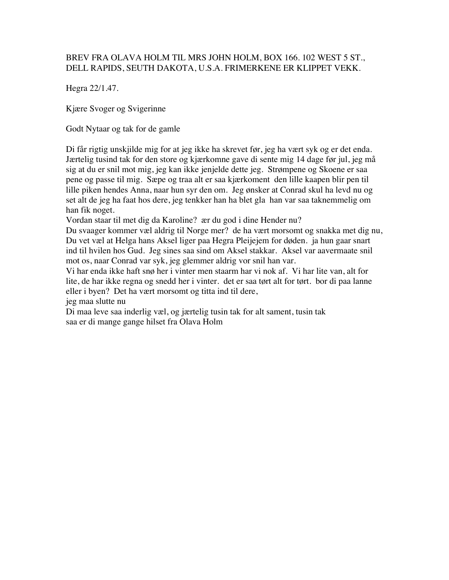## BREV FRA OLAVA HOLM TIL MRS JOHN HOLM, BOX 166. 102 WEST 5 ST., DELL RAPIDS, SEUTH DAKOTA, U.S.A. FRIMERKENE ER KLIPPET VEKK.

Hegra 22/1.47.

Kjære Svoger og Svigerinne

Godt Nytaar og tak for de gamle

Di får rigtig unskjilde mig for at jeg ikke ha skrevet før, jeg ha vært syk og er det enda. Jærtelig tusind tak for den store og kjærkomne gave di sente mig 14 dage før jul, jeg må sig at du er snil mot mig, jeg kan ikke jenjelde dette jeg. Strømpene og Skoene er saa pene og passe til mig. Sæpe og traa alt er saa kjærkoment den lille kaapen blir pen til lille piken hendes Anna, naar hun syr den om. Jeg ønsker at Conrad skul ha levd nu og set alt de jeg ha faat hos dere, jeg tenkker han ha blet gla han var saa taknemmelig om han fik noget.

Vordan staar til met dig da Karoline? ær du god i dine Hender nu?

Du svaager kommer væl aldrig til Norge mer? de ha vært morsomt og snakka met dig nu, Du vet væl at Helga hans Aksel liger paa Hegra Pleijejem for døden. ja hun gaar snart ind til hvilen hos Gud. Jeg sines saa sind om Aksel stakkar. Aksel var aavermaate snil mot os, naar Conrad var syk, jeg glemmer aldrig vor snil han var.

Vi har enda ikke haft snø her i vinter men staarm har vi nok af. Vi har lite van, alt for lite, de har ikke regna og snedd her i vinter. det er saa tørt alt for tørt. bor di paa lanne eller i byen? Det ha vært morsomt og titta ind til dere,

jeg maa slutte nu

Di maa leve saa inderlig væl, og jærtelig tusin tak for alt sament, tusin tak saa er di mange gange hilset fra Olava Holm